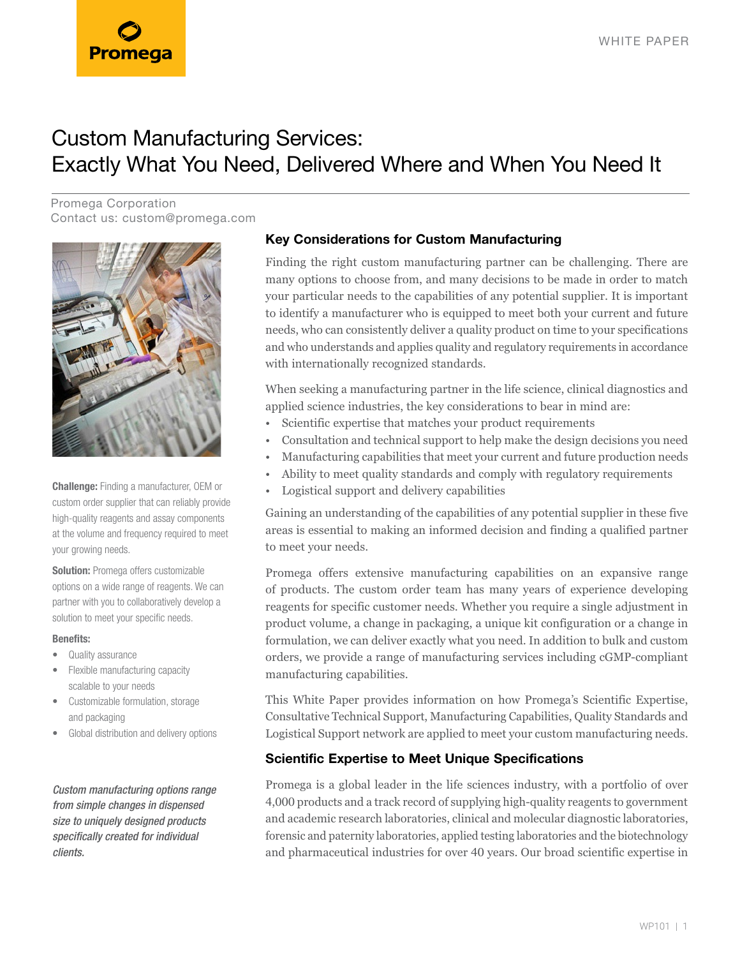

# Custom Manufacturing Services: Exactly What You Need, Delivered Where and When You Need It

Promega Corporation Contact us: [custom@promega.com](mailto:custom%40promega.com?subject=)



**Challenge:** Finding a manufacturer, OEM or custom order supplier that can reliably provide high-quality reagents and assay components at the volume and frequency required to meet your growing needs.

**Solution:** Promega offers customizable options on a wide range of reagents. We can partner with you to collaboratively develop a solution to meet your specific needs.

#### **Benefits:**

- Quality assurance
- Flexible manufacturing capacity scalable to your needs
- Customizable formulation, storage and packaging
- Global distribution and delivery options

*Custom manufacturing options range from simple changes in dispensed size to uniquely designed products specifically created for individual clients.*

# **Key Considerations for Custom Manufacturing**

Finding the right custom manufacturing partner can be challenging. There are many options to choose from, and many decisions to be made in order to match your particular needs to the capabilities of any potential supplier. It is important to identify a manufacturer who is equipped to meet both your current and future needs, who can consistently deliver a quality product on time to your specifications and who understands and applies quality and regulatory requirements in accordance with internationally recognized standards.

When seeking a manufacturing partner in the life science, clinical diagnostics and applied science industries, the key considerations to bear in mind are:

- Scientific expertise that matches your product requirements
- Consultation and technical support to help make the design decisions you need
- Manufacturing capabilities that meet your current and future production needs
- Ability to meet quality standards and comply with regulatory requirements
- Logistical support and delivery capabilities

Gaining an understanding of the capabilities of any potential supplier in these five areas is essential to making an informed decision and finding a qualified partner to meet your needs.

Promega offers extensive manufacturing capabilities on an expansive range of products. The custom order team has many years of experience developing reagents for specific customer needs. Whether you require a single adjustment in product volume, a change in packaging, a unique kit configuration or a change in formulation, we can deliver exactly what you need. In addition to bulk and custom orders, we provide a range of manufacturing services including cGMP-compliant manufacturing capabilities.

This White Paper provides information on how Promega's Scientific Expertise, Consultative Technical Support, Manufacturing Capabilities, Quality Standards and Logistical Support network are applied to meet your custom manufacturing needs.

# **Scientific Expertise to Meet Unique Specifications**

Promega is a global leader in the life sciences industry, with a portfolio of over 4,000 products and a track record of supplying high-quality reagents to government and academic research laboratories, clinical and molecular diagnostic laboratories, forensic and paternity laboratories, applied testing laboratories and the biotechnology and pharmaceutical industries for over 40 years. Our broad scientific expertise in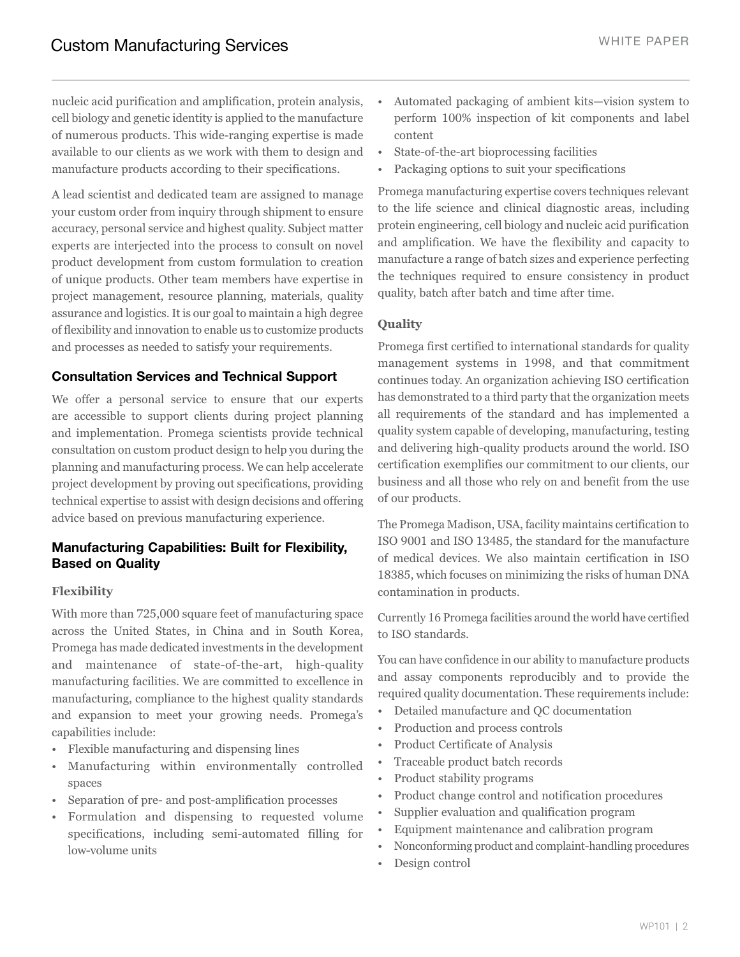nucleic acid purification and amplification, protein analysis, cell biology and genetic identity is applied to the manufacture of numerous products. This wide-ranging expertise is made available to our clients as we work with them to design and manufacture products according to their specifications.

A lead scientist and dedicated team are assigned to manage your custom order from inquiry through shipment to ensure accuracy, personal service and highest quality. Subject matter experts are interjected into the process to consult on novel product development from custom formulation to creation of unique products. Other team members have expertise in project management, resource planning, materials, quality assurance and logistics. It is our goal to maintain a high degree of flexibility and innovation to enable us to customize products and processes as needed to satisfy your requirements.

## **Consultation Services and Technical Support**

We offer a personal service to ensure that our experts are accessible to support clients during project planning and implementation. Promega scientists provide technical consultation on custom product design to help you during the planning and manufacturing process. We can help accelerate project development by proving out specifications, providing technical expertise to assist with design decisions and offering advice based on previous manufacturing experience.

# **Manufacturing Capabilities: Built for Flexibility, Based on Quality**

### **Flexibility**

With more than 725,000 square feet of manufacturing space across the United States, in China and in South Korea, Promega has made dedicated investments in the development and maintenance of state-of-the-art, high-quality manufacturing facilities. We are committed to excellence in manufacturing, compliance to the highest quality standards and expansion to meet your growing needs. Promega's capabilities include:

- Flexible manufacturing and dispensing lines
- Manufacturing within environmentally controlled spaces
- Separation of pre- and post-amplification processes
- Formulation and dispensing to requested volume specifications, including semi-automated filling for low-volume units
- Automated packaging of ambient kits—vision system to perform 100% inspection of kit components and label content
- State-of-the-art bioprocessing facilities
- Packaging options to suit your specifications

Promega manufacturing expertise covers techniques relevant to the life science and clinical diagnostic areas, including protein engineering, cell biology and nucleic acid purification and amplification. We have the flexibility and capacity to manufacture a range of batch sizes and experience perfecting the techniques required to ensure consistency in product quality, batch after batch and time after time.

### **Quality**

Promega first certified to international standards for quality management systems in 1998, and that commitment continues today. An organization achieving ISO certification has demonstrated to a third party that the organization meets all requirements of the standard and has implemented a quality system capable of developing, manufacturing, testing and delivering high-quality products around the world. ISO certification exemplifies our commitment to our clients, our business and all those who rely on and benefit from the use of our products.

The Promega Madison, USA, facility maintains certification to ISO 9001 and ISO 13485, the standard for the manufacture of medical devices. We also maintain certification in ISO 18385, which focuses on minimizing the risks of human DNA contamination in products.

Currently 16 Promega facilities around the world have certified to ISO standards.

You can have confidence in our ability to manufacture products and assay components reproducibly and to provide the required quality documentation. These requirements include:

- Detailed manufacture and QC documentation
- Production and process controls
- Product Certificate of Analysis
- Traceable product batch records
- Product stability programs
- Product change control and notification procedures
- Supplier evaluation and qualification program
- Equipment maintenance and calibration program
- Nonconforming product and complaint-handling procedures
- Design control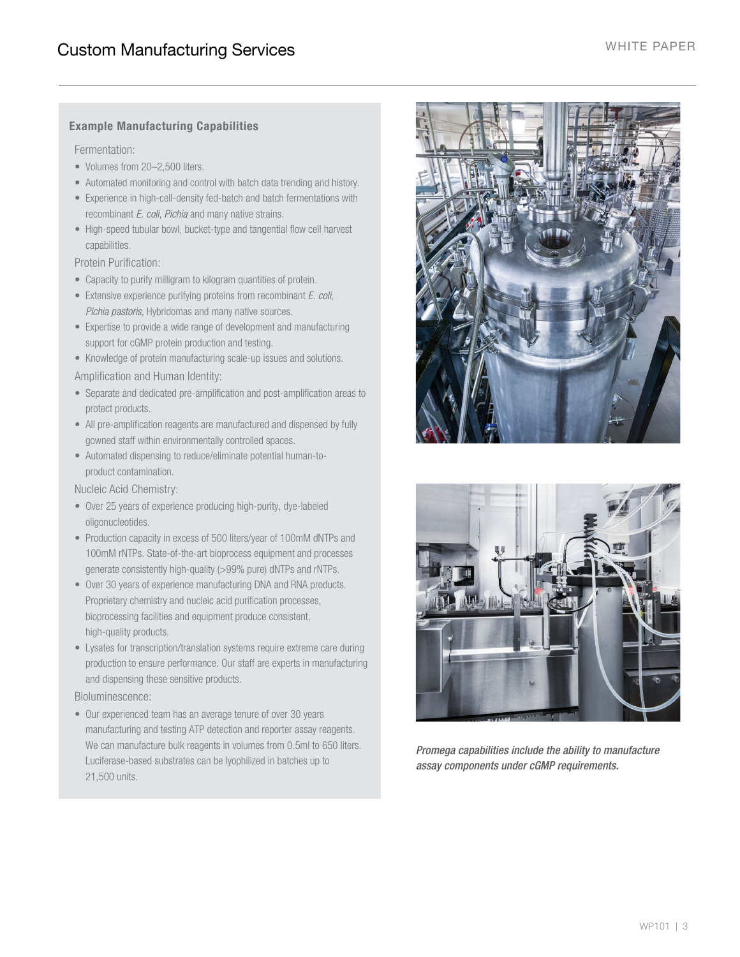### **Example Manufacturing Capabilities**

Fermentation:

- Volumes from 20–2,500 liters.
- Automated monitoring and control with batch data trending and history.
- Experience in high-cell-density fed-batch and batch fermentations with recombinant *E. coli*, *Pichia* and many native strains.
- High-speed tubular bowl, bucket-type and tangential flow cell harvest capabilities.

Protein Purification:

- Capacity to purify milligram to kilogram quantities of protein.
- Extensive experience purifying proteins from recombinant *E. coli*, *Pichia pastoris,* Hybridomas and many native sources.
- Expertise to provide a wide range of development and manufacturing support for cGMP protein production and testing.
- Knowledge of protein manufacturing scale-up issues and solutions.
- Amplification and Human Identity:
- Separate and dedicated pre-amplification and post-amplification areas to protect products.
- All pre-amplification reagents are manufactured and dispensed by fully gowned staff within environmentally controlled spaces.
- Automated dispensing to reduce/eliminate potential human-toproduct contamination.

Nucleic Acid Chemistry:

- Over 25 years of experience producing high-purity, dye-labeled oligonucleotides.
- Production capacity in excess of 500 liters/year of 100mM dNTPs and 100mM rNTPs. State-of-the-art bioprocess equipment and processes generate consistently high-quality (>99% pure) dNTPs and rNTPs.
- Over 30 years of experience manufacturing DNA and RNA products. Proprietary chemistry and nucleic acid purification processes, bioprocessing facilities and equipment produce consistent, high-quality products.
- Lysates for transcription/translation systems require extreme care during production to ensure performance. Our staff are experts in manufacturing and dispensing these sensitive products.

Bioluminescence:

• Our experienced team has an average tenure of over 30 years manufacturing and testing ATP detection and reporter assay reagents. We can manufacture bulk reagents in volumes from 0.5ml to 650 liters. Luciferase-based substrates can be lyophilized in batches up to 21,500 units.





*Promega capabilities include the ability to manufacture assay components under cGMP requirements.*